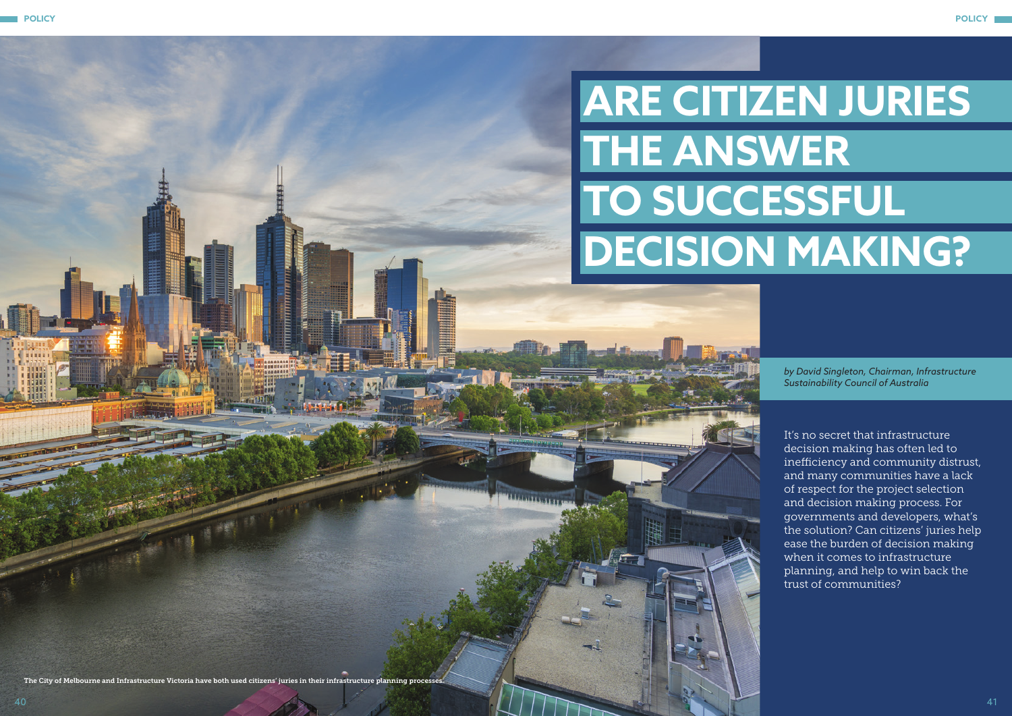

*by David Singleton, Chairman, Infrastructure Sustainability Council of Australia*

## **ARE CITIZEN JURIES THE ANSWER TO SUCCESSFUL DECISION MAKING?**

It's no secret that infrastructure decision making has often led to inefficiency and community distrust, and many communities have a lack of respect for the project selection and decision making process. For governments and developers, what's the solution? Can citizens' juries help ease the burden of decision making when it comes to infrastructure planning, and help to win back the trust of communities?

The City of Melbourne and Infrastructure Victoria have both used citizens' juries in their infrastructure planning processes.